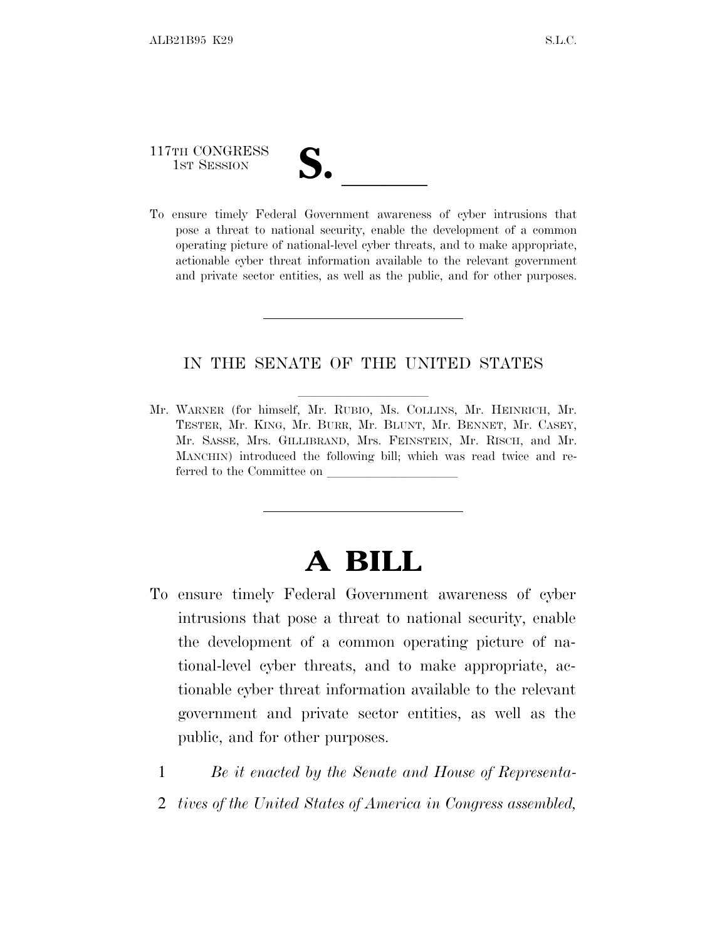# 117TH CONGRESS

117TH CONGRESS<br>
1ST SESSION<br>
To ensure timely Federal Government awareness of cyber intrusions that pose a threat to national security, enable the development of a common operating picture of national-level cyber threats, and to make appropriate, actionable cyber threat information available to the relevant government and private sector entities, as well as the public, and for other purposes.

#### IN THE SENATE OF THE UNITED STATES

Mr. WARNER (for himself, Mr. RUBIO, Ms. COLLINS, Mr. HEINRICH, Mr. TESTER, Mr. KING, Mr. BURR, Mr. BLUNT, Mr. BENNET, Mr. CASEY, Mr. SASSE, Mrs. GILLIBRAND, Mrs. FEINSTEIN, Mr. RISCH, and Mr. MANCHIN) introduced the following bill; which was read twice and referred to the Committee on

## **A BILL**

- To ensure timely Federal Government awareness of cyber intrusions that pose a threat to national security, enable the development of a common operating picture of national-level cyber threats, and to make appropriate, actionable cyber threat information available to the relevant government and private sector entities, as well as the public, and for other purposes.
	- 1 *Be it enacted by the Senate and House of Representa-*
	- 2 *tives of the United States of America in Congress assembled,*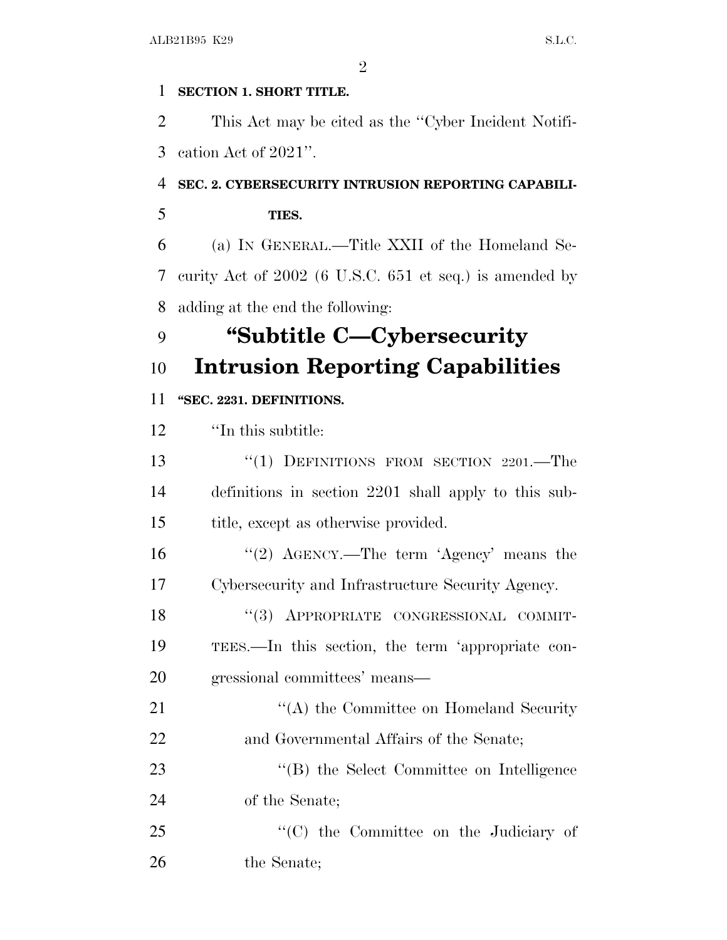#### **SECTION 1. SHORT TITLE.**

 This Act may be cited as the ''Cyber Incident Notifi-cation Act of 2021''.

### **SEC. 2. CYBERSECURITY INTRUSION REPORTING CAPABILI-**

**TIES.**

 (a) I<sup>N</sup> GENERAL.—Title XXII of the Homeland Se- curity Act of 2002 (6 U.S.C. 651 et seq.) is amended by adding at the end the following:

## **''Subtitle C—Cybersecurity Intrusion Reporting Capabilities**

### **''SEC. 2231. DEFINITIONS.**

''In this subtitle:

13 "(1) DEFINITIONS FROM SECTION 2201.—The definitions in section 2201 shall apply to this sub-title, except as otherwise provided.

16 ''(2) AGENCY.—The term 'Agency' means the Cybersecurity and Infrastructure Security Agency.

18 "(3) APPROPRIATE CONGRESSIONAL COMMIT- TEES.—In this section, the term 'appropriate con-gressional committees' means—

21 ''(A) the Committee on Homeland Security and Governmental Affairs of the Senate;

23 "'(B) the Select Committee on Intelligence of the Senate;

25 "'(C) the Committee on the Judiciary of the Senate;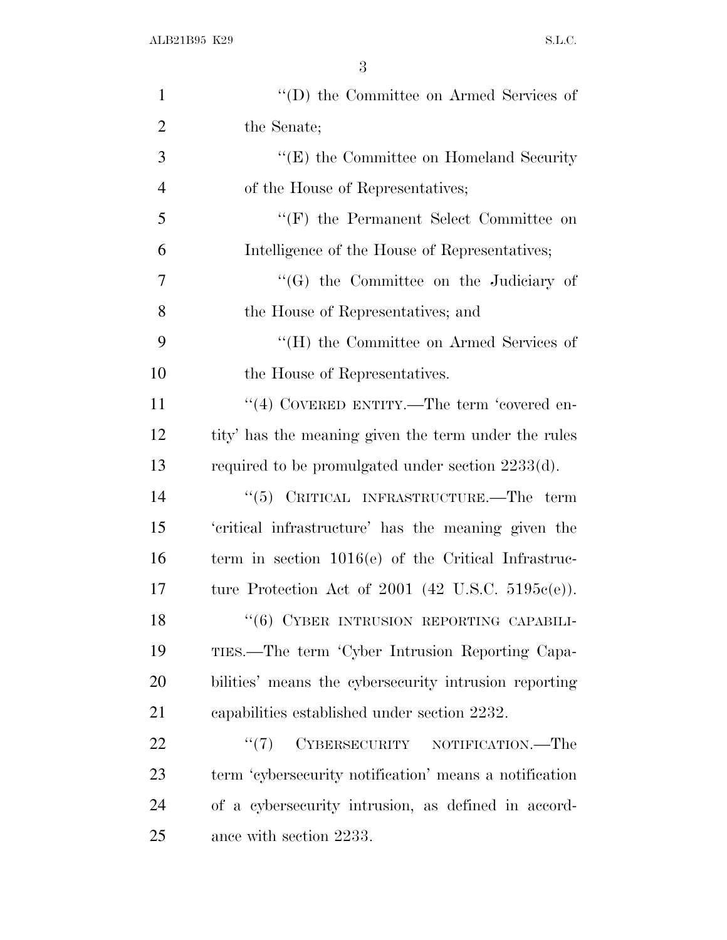| $\mathbf{1}$   | "(D) the Committee on Armed Services of                |
|----------------|--------------------------------------------------------|
| $\overline{2}$ | the Senate;                                            |
| 3              | $\lq\lq(E)$ the Committee on Homeland Security         |
| $\overline{4}$ | of the House of Representatives;                       |
| 5              | $\lq\lq(F)$ the Permanent Select Committee on          |
| 6              | Intelligence of the House of Representatives;          |
| $\overline{7}$ | "(G) the Committee on the Judiciary of                 |
| 8              | the House of Representatives; and                      |
| 9              | "(H) the Committee on Armed Services of                |
| 10             | the House of Representatives.                          |
| 11             | "(4) COVERED ENTITY.—The term 'covered en-             |
| 12             | tity' has the meaning given the term under the rules   |
| 13             | required to be promulgated under section $2233(d)$ .   |
| 14             | "(5) CRITICAL INFRASTRUCTURE.—The term                 |
| 15             | 'critical infrastructure' has the meaning given the    |
| 16             | term in section $1016(e)$ of the Critical Infrastruc-  |
| 17             | ture Protection Act of 2001 (42 U.S.C. 5195 $e(e)$ ).  |
| 18             | "(6) CYBER INTRUSION REPORTING CAPABILI-               |
| 19             | TIES.—The term 'Cyber Intrusion Reporting Capa-        |
| 20             | bilities' means the cybersecurity intrusion reporting  |
| 21             | capabilities established under section 2232.           |
| 22             | CYBERSECURITY NOTIFICATION.—The<br>``(7)               |
| 23             | term 'cybersecurity notification' means a notification |
| 24             | of a cybersecurity intrusion, as defined in accord-    |
| 25             | ance with section 2233.                                |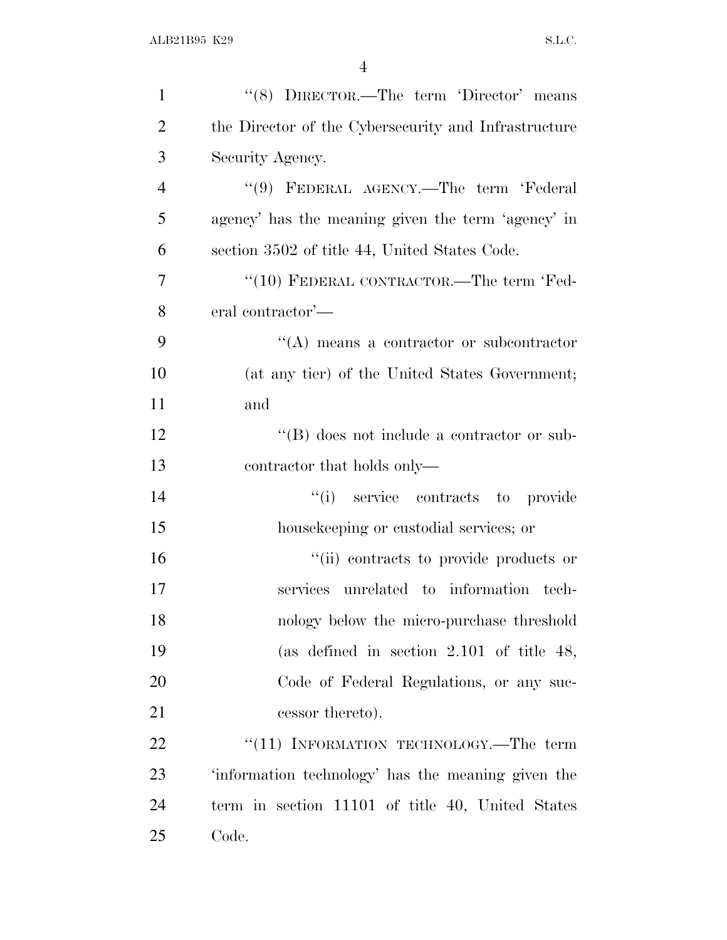| $\mathbf{1}$   | "(8) DIRECTOR.—The term 'Director' means             |
|----------------|------------------------------------------------------|
| $\overline{2}$ | the Director of the Cybersecurity and Infrastructure |
| 3              | Security Agency.                                     |
| $\overline{4}$ | "(9) FEDERAL AGENCY.—The term 'Federal               |
| 5              | agency' has the meaning given the term 'agency' in   |
| 6              | section 3502 of title 44, United States Code.        |
| 7              | "(10) FEDERAL CONTRACTOR.—The term 'Fed-             |
| 8              | eral contractor'—                                    |
| 9              | "(A) means a contractor or subcontractor             |
| 10             | (at any tier) of the United States Government;       |
| 11             | and                                                  |
| 12             | $\lq\lq (B)$ does not include a contractor or sub-   |
| 13             | contractor that holds only—                          |
| 14             | "(i) service contracts to provide                    |
| 15             | housekeeping or custodial services; or               |
| 16             | "(ii) contracts to provide products or               |
| 17             | services unrelated to information tech-              |
| 18             | nology below the micro-purchase threshold            |
| 19             | (as defined in section $2.101$ of title 48,          |
| 20             | Code of Federal Regulations, or any suc-             |
| 21             | cessor thereto).                                     |
| 22             | "(11) INFORMATION TECHNOLOGY.—The term               |
| 23             | 'information technology' has the meaning given the   |
| 24             | term in section 11101 of title 40, United States     |
| 25             | Code.                                                |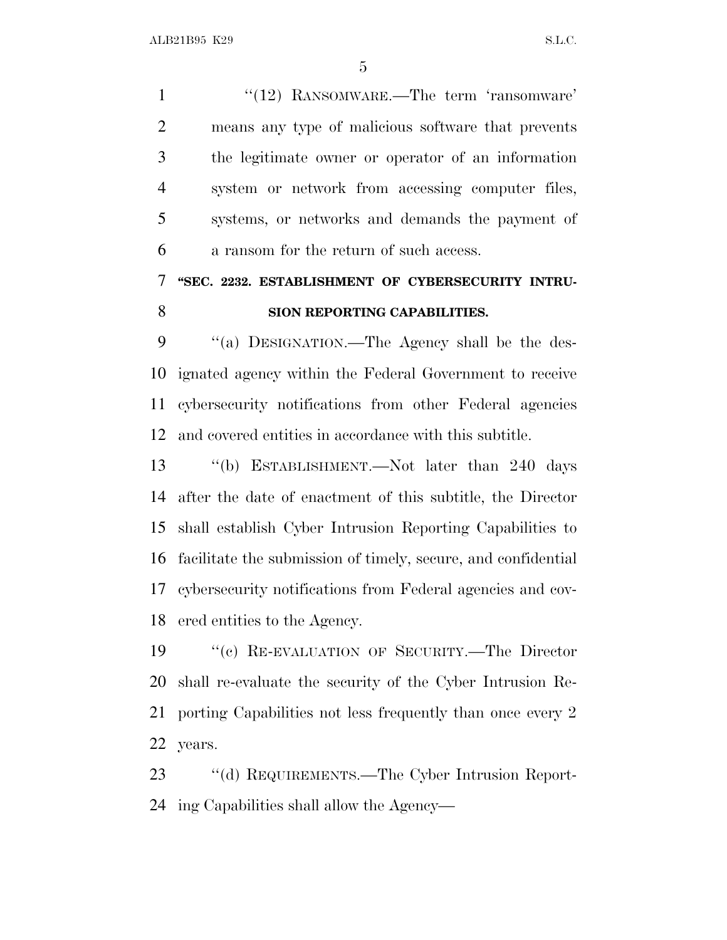1 ''(12) RANSOMWARE.—The term 'ransomware' means any type of malicious software that prevents the legitimate owner or operator of an information system or network from accessing computer files, systems, or networks and demands the payment of a ransom for the return of such access.

### **''SEC. 2232. ESTABLISHMENT OF CYBERSECURITY INTRU-SION REPORTING CAPABILITIES.**

 ''(a) DESIGNATION.—The Agency shall be the des- ignated agency within the Federal Government to receive cybersecurity notifications from other Federal agencies and covered entities in accordance with this subtitle.

 ''(b) ESTABLISHMENT.—Not later than 240 days after the date of enactment of this subtitle, the Director shall establish Cyber Intrusion Reporting Capabilities to facilitate the submission of timely, secure, and confidential cybersecurity notifications from Federal agencies and cov-ered entities to the Agency.

 ''(c) RE-EVALUATION OF SECURITY.—The Director shall re-evaluate the security of the Cyber Intrusion Re- porting Capabilities not less frequently than once every 2 years.

 ''(d) REQUIREMENTS.—The Cyber Intrusion Report-ing Capabilities shall allow the Agency—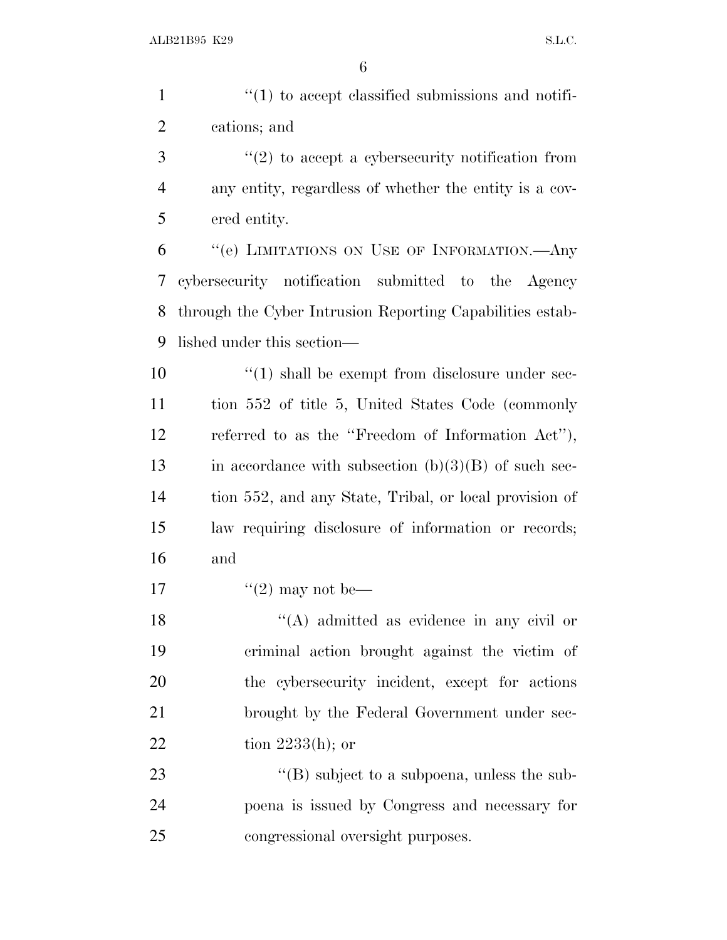| $\mathbf{1}$   | $\lq(1)$ to accept classified submissions and notifi-     |
|----------------|-----------------------------------------------------------|
| $\overline{2}$ | cations; and                                              |
| 3              | $\lq(2)$ to accept a cybersecurity notification from      |
| $\overline{4}$ | any entity, regardless of whether the entity is a cov-    |
| 5              | ered entity.                                              |
| 6              | "(e) LIMITATIONS ON USE OF INFORMATION.- Any              |
| 7              | cybersecurity notification submitted to the Agency        |
| 8              | through the Cyber Intrusion Reporting Capabilities estab- |
| 9              | lished under this section—                                |
| 10             | $\lq(1)$ shall be exempt from disclosure under sec-       |
| 11             | tion 552 of title 5, United States Code (commonly         |
| 12             | referred to as the "Freedom of Information Act"),         |
| 13             | in accordance with subsection $(b)(3)(B)$ of such sec-    |
| 14             | tion 552, and any State, Tribal, or local provision of    |
| 15             | law requiring disclosure of information or records;       |
| 16             | and                                                       |
| 17             | "(2) may not be—                                          |
| 18             | "(A) admitted as evidence in any civil or                 |
| 19             | criminal action brought against the victim of             |
| 20             | the cybersecurity incident, except for actions            |
| 21             | brought by the Federal Government under sec-              |
| 22             | tion $2233(h)$ ; or                                       |
| 23             | $\lq\lq$ subject to a subpoena, unless the sub-           |
| 24             | poena is issued by Congress and necessary for             |
| 25             | congressional oversight purposes.                         |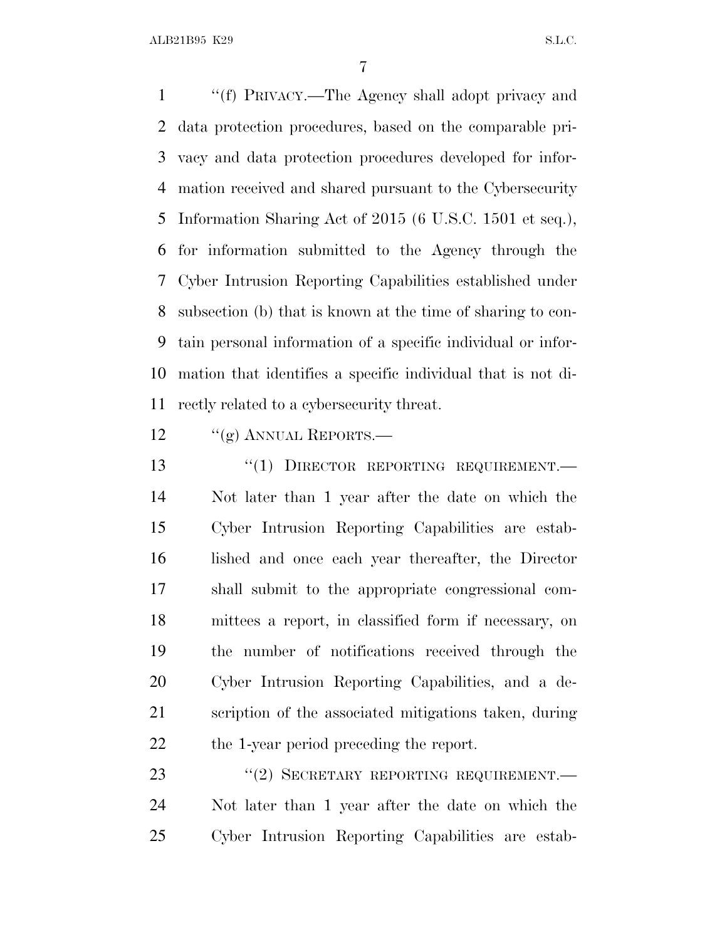ALB21B95 K29 S.L.C.

 ''(f) PRIVACY.—The Agency shall adopt privacy and data protection procedures, based on the comparable pri- vacy and data protection procedures developed for infor- mation received and shared pursuant to the Cybersecurity Information Sharing Act of 2015 (6 U.S.C. 1501 et seq.), for information submitted to the Agency through the Cyber Intrusion Reporting Capabilities established under subsection (b) that is known at the time of sharing to con- tain personal information of a specific individual or infor- mation that identifies a specific individual that is not di-rectly related to a cybersecurity threat.

12 "(g) ANNUAL REPORTS.—

13 "(1) DIRECTOR REPORTING REQUIREMENT. Not later than 1 year after the date on which the Cyber Intrusion Reporting Capabilities are estab- lished and once each year thereafter, the Director shall submit to the appropriate congressional com- mittees a report, in classified form if necessary, on the number of notifications received through the Cyber Intrusion Reporting Capabilities, and a de- scription of the associated mitigations taken, during the 1-year period preceding the report.

23 "(2) SECRETARY REPORTING REQUIREMENT. Not later than 1 year after the date on which the Cyber Intrusion Reporting Capabilities are estab-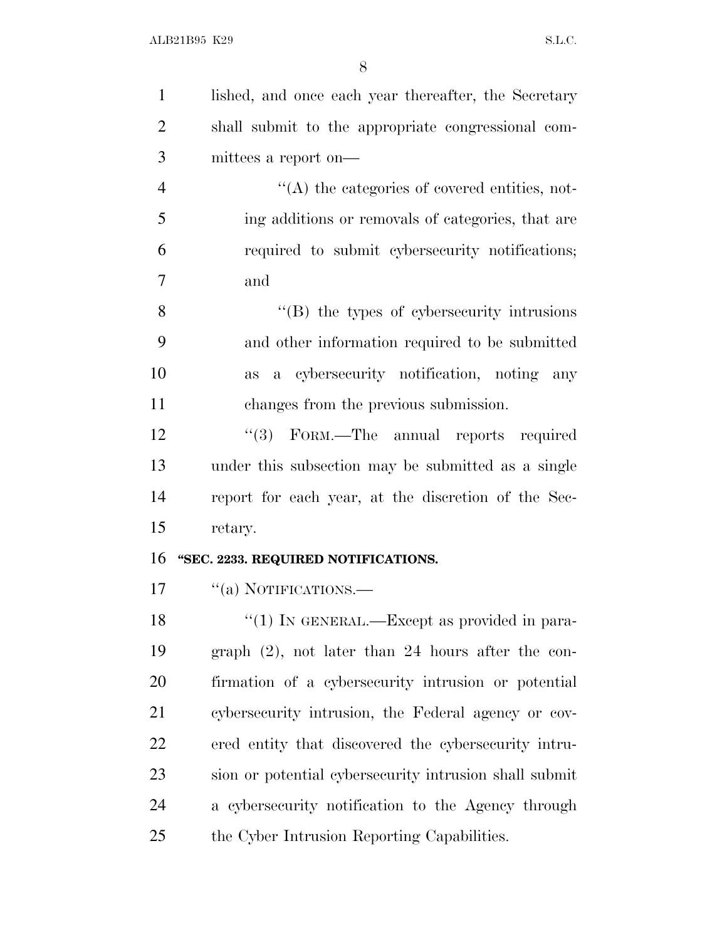| $\mathbf{1}$   | lished, and once each year thereafter, the Secretary   |
|----------------|--------------------------------------------------------|
| $\overline{2}$ | shall submit to the appropriate congressional com-     |
| 3              | mittees a report on—                                   |
| $\overline{4}$ | $\lq\lq$ the categories of covered entities, not-      |
| 5              | ing additions or removals of categories, that are      |
| 6              | required to submit cybersecurity notifications;        |
| 7              | and                                                    |
| 8              | $\cdot$ (B) the types of cybers ecurity intrusions     |
| 9              | and other information required to be submitted         |
| 10             | a cybersecurity notification, noting any<br>as         |
| 11             | changes from the previous submission.                  |
| 12             | "(3) FORM.—The annual reports required                 |
| 13             | under this subsection may be submitted as a single     |
| 14             | report for each year, at the discretion of the Sec-    |
| 15             | retary.                                                |
| 16             | "SEC. 2233. REQUIRED NOTIFICATIONS.                    |
| 17             | "(a) NOTIFICATIONS.—                                   |
| 18             | $\lq(1)$ In GENERAL.—Except as provided in para-       |
| 19             | graph $(2)$ , not later than 24 hours after the con-   |
| 20             | firmation of a cybersecurity intrusion or potential    |
| 21             | cybersecurity intrusion, the Federal agency or cov-    |
| 22             | ered entity that discovered the cybersecurity intru-   |
| 23             | sion or potential cybersecurity intrusion shall submit |
| 24             | a cybersecurity notification to the Agency through     |
| 25             | the Cyber Intrusion Reporting Capabilities.            |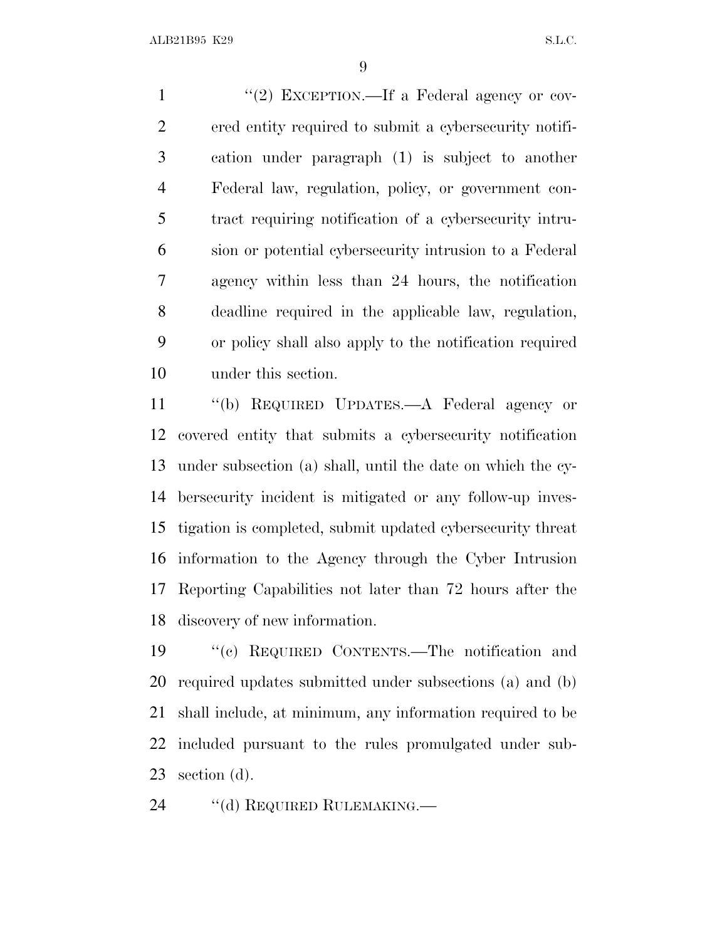1 "(2) EXCEPTION.—If a Federal agency or cov- ered entity required to submit a cybersecurity notifi- cation under paragraph (1) is subject to another Federal law, regulation, policy, or government con- tract requiring notification of a cybersecurity intru- sion or potential cybersecurity intrusion to a Federal agency within less than 24 hours, the notification deadline required in the applicable law, regulation, or policy shall also apply to the notification required under this section.

 ''(b) REQUIRED UPDATES.—A Federal agency or covered entity that submits a cybersecurity notification under subsection (a) shall, until the date on which the cy- bersecurity incident is mitigated or any follow-up inves- tigation is completed, submit updated cybersecurity threat information to the Agency through the Cyber Intrusion Reporting Capabilities not later than 72 hours after the discovery of new information.

 ''(c) REQUIRED CONTENTS.—The notification and required updates submitted under subsections (a) and (b) shall include, at minimum, any information required to be included pursuant to the rules promulgated under sub-section (d).

24 "(d) REQUIRED RULEMAKING.—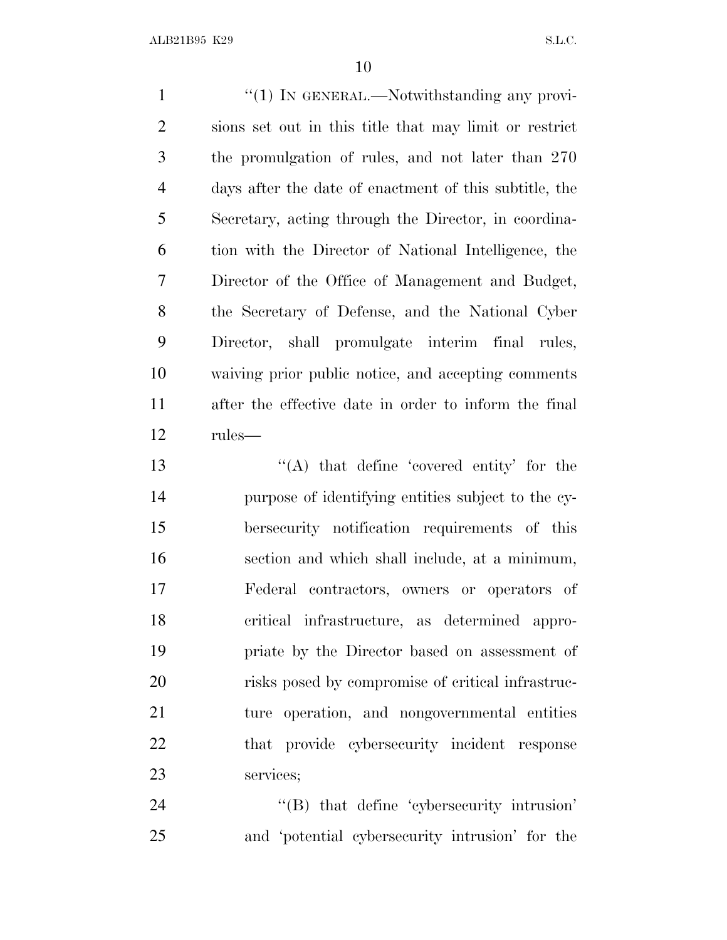1 "(1) IN GENERAL.—Notwithstanding any provi- sions set out in this title that may limit or restrict the promulgation of rules, and not later than 270 days after the date of enactment of this subtitle, the Secretary, acting through the Director, in coordina- tion with the Director of National Intelligence, the Director of the Office of Management and Budget, the Secretary of Defense, and the National Cyber Director, shall promulgate interim final rules, waiving prior public notice, and accepting comments after the effective date in order to inform the final rules—

 ''(A) that define 'covered entity' for the purpose of identifying entities subject to the cy- bersecurity notification requirements of this section and which shall include, at a minimum, Federal contractors, owners or operators of critical infrastructure, as determined appro- priate by the Director based on assessment of risks posed by compromise of critical infrastruc- ture operation, and nongovernmental entities that provide cybersecurity incident response services;

24  $\text{``(B)}$  that define 'cybersecurity intrusion' and 'potential cybersecurity intrusion' for the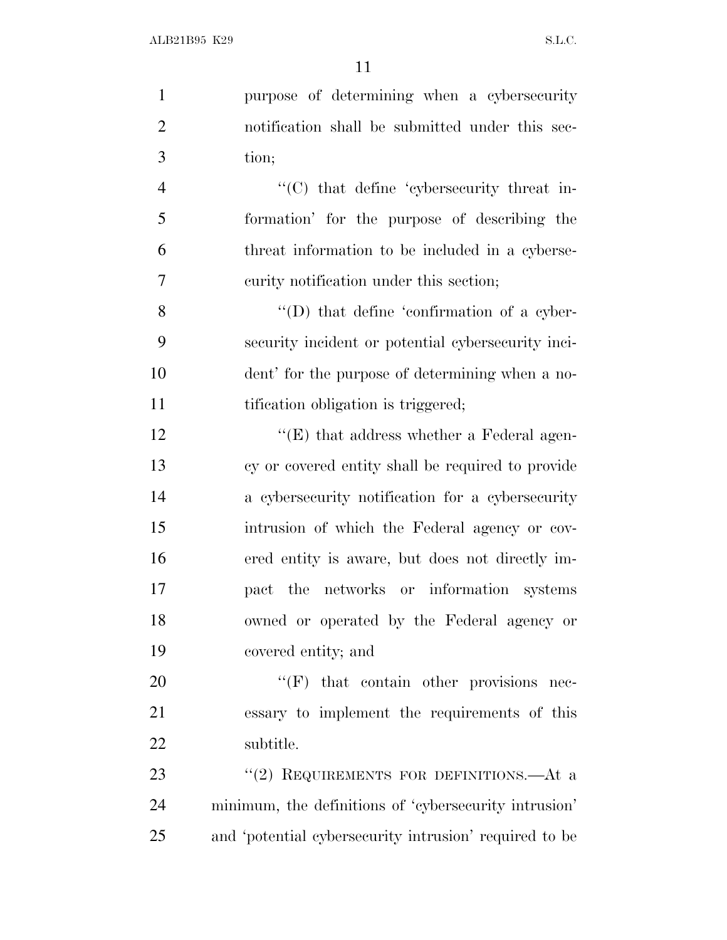| $\mathbf{1}$   | purpose of determining when a cybersecurity            |
|----------------|--------------------------------------------------------|
| $\overline{2}$ | notification shall be submitted under this sec-        |
| 3              | tion;                                                  |
| $\overline{4}$ | "(C) that define 'cybersecurity threat in-             |
| 5              | formation' for the purpose of describing the           |
| 6              | threat information to be included in a cyberse-        |
| $\tau$         | curity notification under this section;                |
| 8              | $\lq\lq$ that define 'confirmation of a cyber-         |
| 9              | security incident or potential cybersecurity inci-     |
| 10             | dent' for the purpose of determining when a no-        |
| 11             | tification obligation is triggered;                    |
| 12             | $\lq\lq(E)$ that address whether a Federal agen-       |
| 13             | cy or covered entity shall be required to provide      |
| 14             | a cybersecurity notification for a cybersecurity       |
| 15             | intrusion of which the Federal agency or cov-          |
| 16             | ered entity is aware, but does not directly im-        |
| 17             | the networks or information systems<br>pact            |
| 18             | owned or operated by the Federal agency or             |
| 19             | covered entity; and                                    |
| 20             | $\lq\lq(F)$ that contain other provisions nec-         |
| 21             | essary to implement the requirements of this           |
| 22             | subtitle.                                              |
| 23             | "(2) REQUIREMENTS FOR DEFINITIONS.—At a                |
| 24             | minimum, the definitions of 'cybersecurity intrusion'  |
| 25             | and 'potential cybersecurity intrusion' required to be |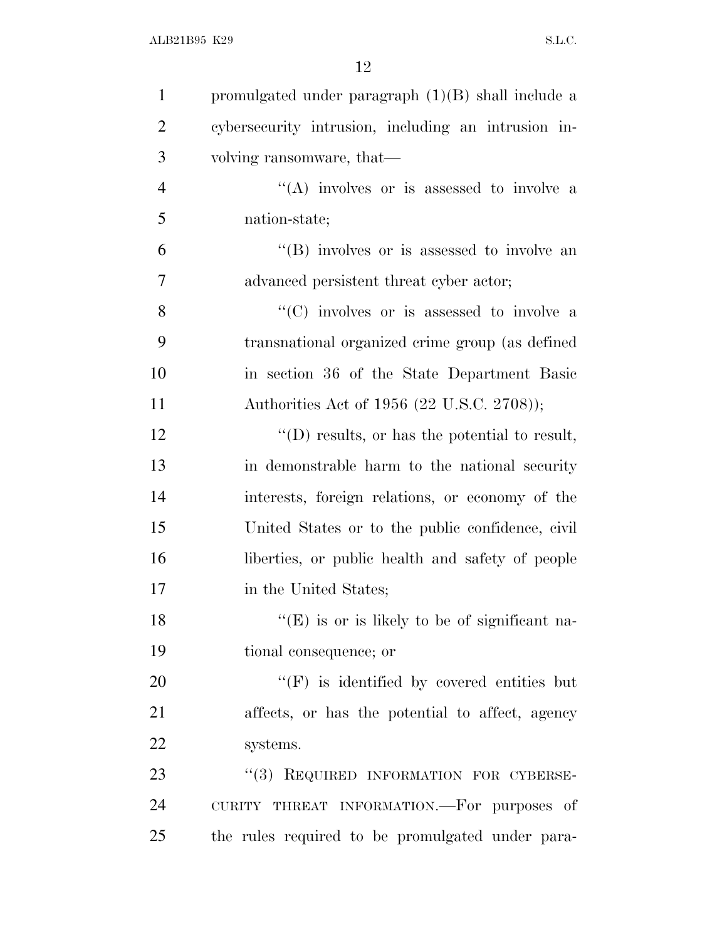| $\mathbf{1}$   | promulgated under paragraph $(1)(B)$ shall include a  |
|----------------|-------------------------------------------------------|
| $\overline{2}$ | cybersecurity intrusion, including an intrusion in-   |
| 3              | volving ransomware, that—                             |
| $\overline{4}$ | "(A) involves or is assessed to involve a             |
| 5              | nation-state;                                         |
| 6              | $\lq\lq$ involves or is assessed to involve an        |
| 7              | advanced persistent threat cyber actor;               |
| 8              | "(C) involves or is assessed to involve a             |
| 9              | transnational organized crime group (as defined       |
| 10             | in section 36 of the State Department Basic           |
| 11             | Authorities Act of 1956 (22 U.S.C. 2708));            |
| 12             | $\lq\lq$ (D) results, or has the potential to result, |
| 13             | in demonstrable harm to the national security         |
| 14             | interests, foreign relations, or economy of the       |
| 15             | United States or to the public confidence, civil      |
| 16             | liberties, or public health and safety of people      |
| 17             | in the United States;                                 |
| 18             | $\lq\lq(E)$ is or is likely to be of significant na-  |
| 19             | tional consequence; or                                |
| 20             | $\lq\lq(F)$ is identified by covered entities but     |
| 21             | affects, or has the potential to affect, agency       |
| 22             | systems.                                              |
| 23             | "(3) REQUIRED INFORMATION FOR CYBERSE-                |
| 24             | CURITY THREAT INFORMATION.-For purposes of            |
| 25             | the rules required to be promulgated under para-      |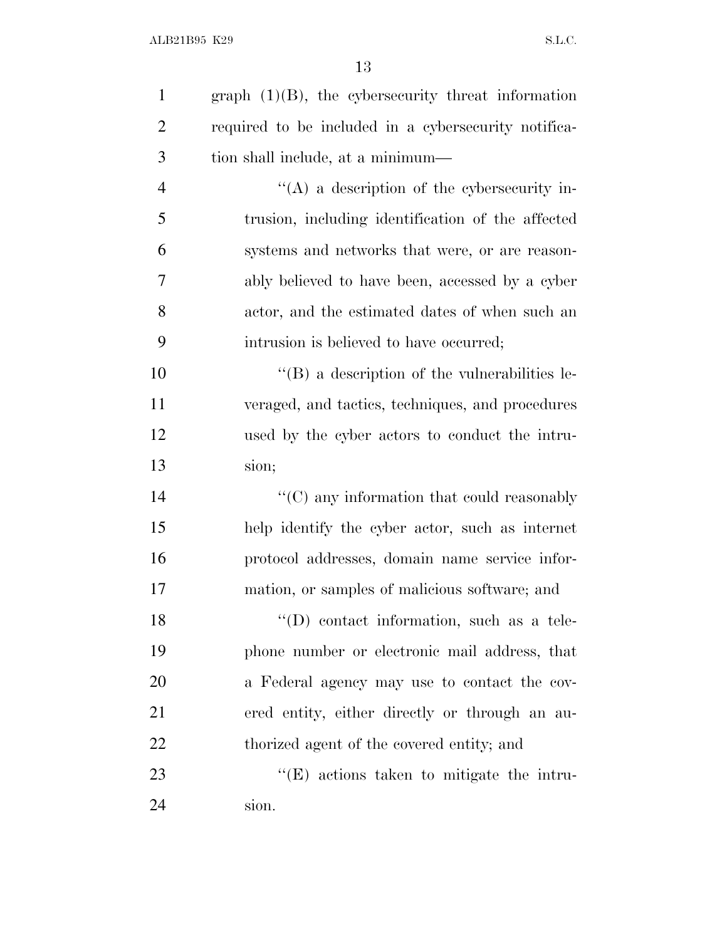| $\mathbf{1}$   | graph $(1)(B)$ , the cybersecurity threat information |
|----------------|-------------------------------------------------------|
| $\overline{2}$ | required to be included in a cybersecurity notifica-  |
| 3              | tion shall include, at a minimum—                     |
| $\overline{4}$ | "(A) a description of the cybersecurity in-           |
| 5              | trusion, including identification of the affected     |
| 6              | systems and networks that were, or are reason-        |
| 7              | ably believed to have been, accessed by a cyber       |
| 8              | actor, and the estimated dates of when such an        |
| 9              | intrusion is believed to have occurred;               |
| 10             | $\lq\lq$ (B) a description of the vulnerabilities le- |
| 11             | veraged, and tactics, techniques, and procedures      |
| 12             | used by the cyber actors to conduct the intru-        |
| 13             | sion;                                                 |
| 14             | "(C) any information that could reasonably            |
| 15             | help identify the cyber actor, such as internet       |
| 16             | protocol addresses, domain name service infor-        |
| 17             | mation, or samples of malicious software; and         |
| 18             | "(D) contact information, such as a tele-             |
| 19             | phone number or electronic mail address, that         |
| 20             | a Federal agency may use to contact the cov-          |
| 21             | ered entity, either directly or through an au-        |
| 22             | thorized agent of the covered entity; and             |
| 23             | $\lq\lq(E)$ actions taken to mitigate the intru-      |
| 24             | sion.                                                 |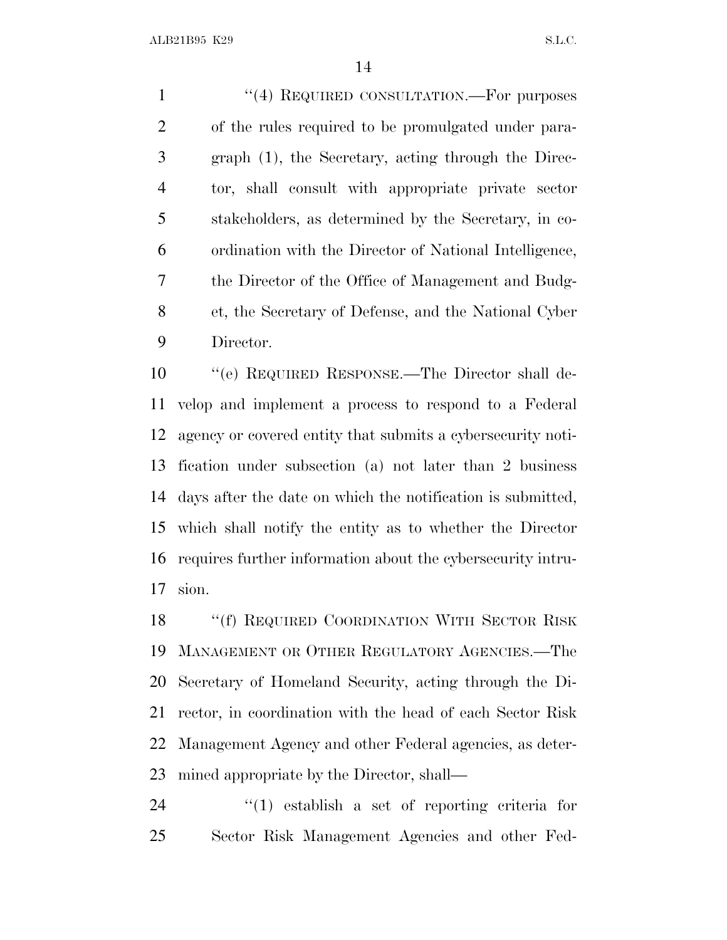1 "(4) REQUIRED CONSULTATION.—For purposes of the rules required to be promulgated under para- graph (1), the Secretary, acting through the Direc- tor, shall consult with appropriate private sector stakeholders, as determined by the Secretary, in co- ordination with the Director of National Intelligence, the Director of the Office of Management and Budg- et, the Secretary of Defense, and the National Cyber Director.

 ''(e) REQUIRED RESPONSE.—The Director shall de- velop and implement a process to respond to a Federal agency or covered entity that submits a cybersecurity noti- fication under subsection (a) not later than 2 business days after the date on which the notification is submitted, which shall notify the entity as to whether the Director requires further information about the cybersecurity intru-sion.

18 "(f) REQUIRED COORDINATION WITH SECTOR RISK MANAGEMENT OR OTHER REGULATORY AGENCIES.—The Secretary of Homeland Security, acting through the Di- rector, in coordination with the head of each Sector Risk Management Agency and other Federal agencies, as deter-mined appropriate by the Director, shall—

 ''(1) establish a set of reporting criteria for Sector Risk Management Agencies and other Fed-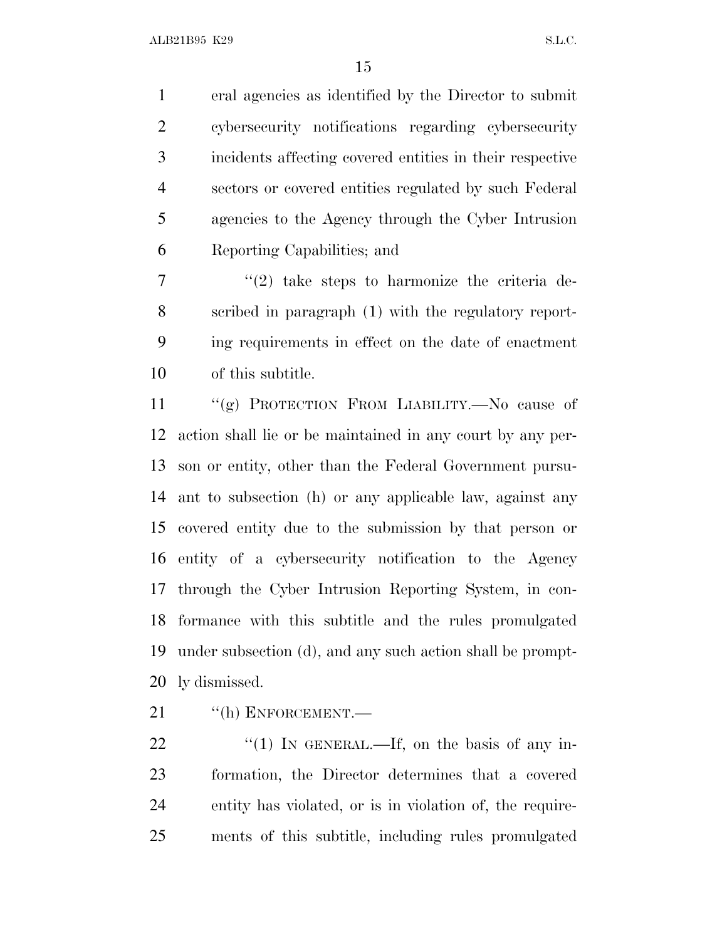eral agencies as identified by the Director to submit cybersecurity notifications regarding cybersecurity incidents affecting covered entities in their respective sectors or covered entities regulated by such Federal agencies to the Agency through the Cyber Intrusion Reporting Capabilities; and

 $7 \t$  (2) take steps to harmonize the criteria de- scribed in paragraph (1) with the regulatory report- ing requirements in effect on the date of enactment of this subtitle.

 ''(g) PROTECTION FROM LIABILITY.—No cause of action shall lie or be maintained in any court by any per- son or entity, other than the Federal Government pursu- ant to subsection (h) or any applicable law, against any covered entity due to the submission by that person or entity of a cybersecurity notification to the Agency through the Cyber Intrusion Reporting System, in con- formance with this subtitle and the rules promulgated under subsection (d), and any such action shall be prompt-ly dismissed.

21 "(h) ENFORCEMENT.

 $\frac{1}{2}$  (1) In GENERAL.—If, on the basis of any in- formation, the Director determines that a covered entity has violated, or is in violation of, the require-ments of this subtitle, including rules promulgated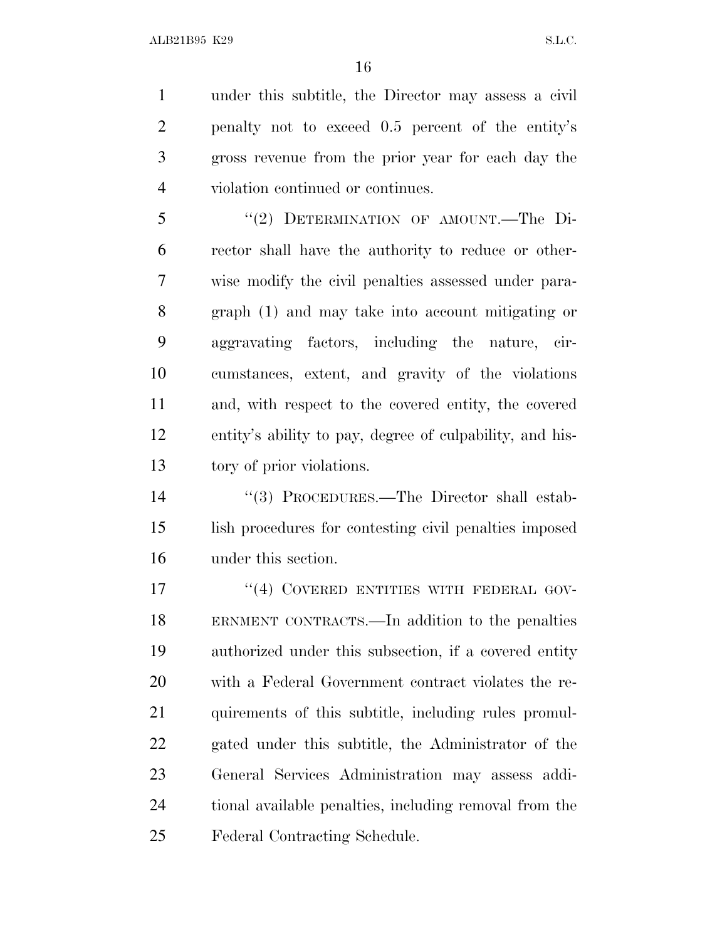under this subtitle, the Director may assess a civil penalty not to exceed 0.5 percent of the entity's gross revenue from the prior year for each day the violation continued or continues.

 ''(2) DETERMINATION OF AMOUNT.—The Di- rector shall have the authority to reduce or other- wise modify the civil penalties assessed under para- graph (1) and may take into account mitigating or aggravating factors, including the nature, cir- cumstances, extent, and gravity of the violations and, with respect to the covered entity, the covered entity's ability to pay, degree of culpability, and his-tory of prior violations.

 ''(3) PROCEDURES.—The Director shall estab- lish procedures for contesting civil penalties imposed under this section.

17 "(4) COVERED ENTITIES WITH FEDERAL GOV- ERNMENT CONTRACTS.—In addition to the penalties authorized under this subsection, if a covered entity with a Federal Government contract violates the re- quirements of this subtitle, including rules promul- gated under this subtitle, the Administrator of the General Services Administration may assess addi- tional available penalties, including removal from the Federal Contracting Schedule.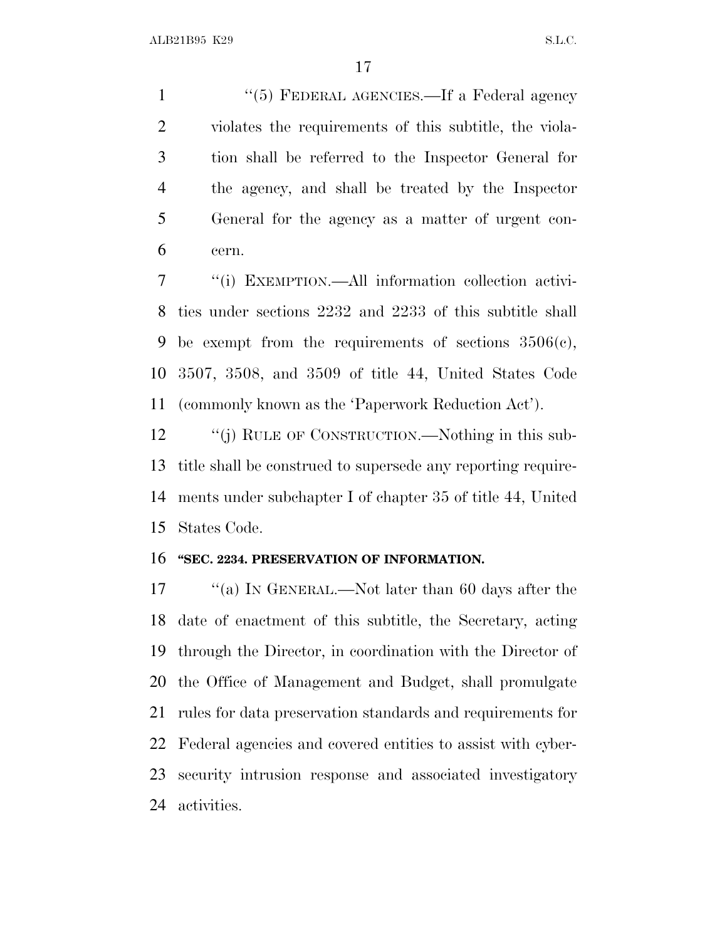1 ''(5) FEDERAL AGENCIES.—If a Federal agency violates the requirements of this subtitle, the viola- tion shall be referred to the Inspector General for the agency, and shall be treated by the Inspector General for the agency as a matter of urgent con-cern.

 ''(i) EXEMPTION.—All information collection activi- ties under sections 2232 and 2233 of this subtitle shall 9 be exempt from the requirements of sections  $3506(c)$ , 3507, 3508, and 3509 of title 44, United States Code (commonly known as the 'Paperwork Reduction Act').

12 "(j) RULE OF CONSTRUCTION.—Nothing in this sub- title shall be construed to supersede any reporting require- ments under subchapter I of chapter 35 of title 44, United States Code.

#### **''SEC. 2234. PRESERVATION OF INFORMATION.**

 ''(a) I<sup>N</sup> GENERAL.—Not later than 60 days after the date of enactment of this subtitle, the Secretary, acting through the Director, in coordination with the Director of the Office of Management and Budget, shall promulgate rules for data preservation standards and requirements for Federal agencies and covered entities to assist with cyber- security intrusion response and associated investigatory activities.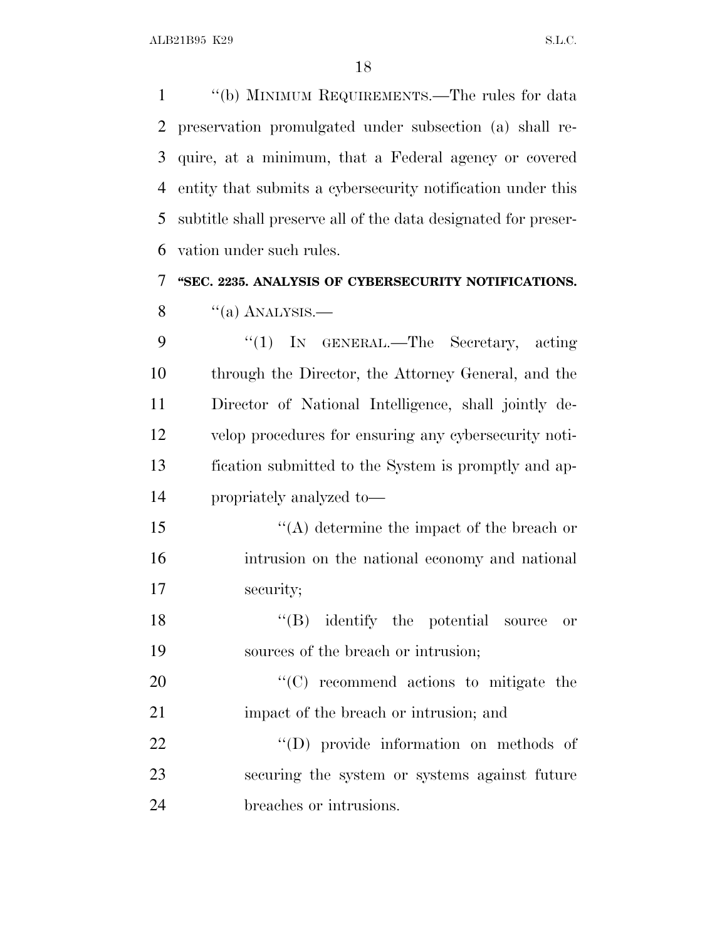''(b) MINIMUM REQUIREMENTS.—The rules for data preservation promulgated under subsection (a) shall re- quire, at a minimum, that a Federal agency or covered entity that submits a cybersecurity notification under this subtitle shall preserve all of the data designated for preser-vation under such rules.

**''SEC. 2235. ANALYSIS OF CYBERSECURITY NOTIFICATIONS.**

 $\frac{8}{(a)$  ANALYSIS.—

9 "(1) IN GENERAL.—The Secretary, acting through the Director, the Attorney General, and the Director of National Intelligence, shall jointly de- velop procedures for ensuring any cybersecurity noti- fication submitted to the System is promptly and ap-propriately analyzed to—

15 ''(A) determine the impact of the breach or intrusion on the national economy and national security;

18 ''(B) identify the potential source or sources of the breach or intrusion;

20  $\cdot$  (C) recommend actions to mitigate the 21 impact of the breach or intrusion; and

22  $\bullet$  (D) provide information on methods of securing the system or systems against future breaches or intrusions.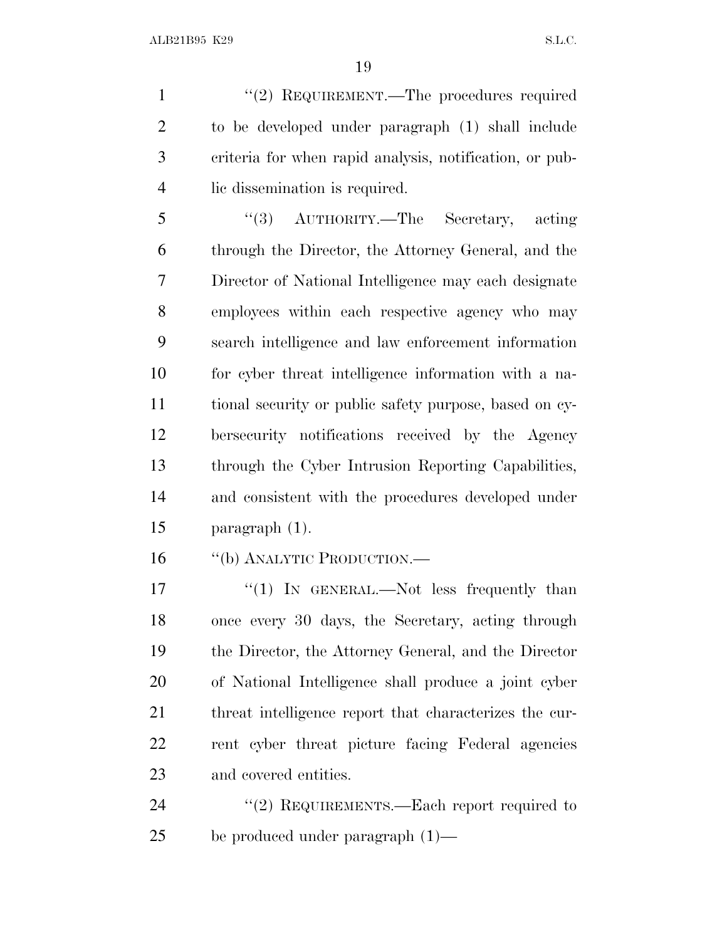1 "(2) REQUIREMENT.—The procedures required to be developed under paragraph (1) shall include criteria for when rapid analysis, notification, or pub-lic dissemination is required.

 ''(3) AUTHORITY.—The Secretary, acting through the Director, the Attorney General, and the Director of National Intelligence may each designate employees within each respective agency who may search intelligence and law enforcement information for cyber threat intelligence information with a na- tional security or public safety purpose, based on cy- bersecurity notifications received by the Agency through the Cyber Intrusion Reporting Capabilities, and consistent with the procedures developed under paragraph (1).

''(b) ANALYTIC PRODUCTION.—

17 "(1) In GENERAL.—Not less frequently than once every 30 days, the Secretary, acting through the Director, the Attorney General, and the Director of National Intelligence shall produce a joint cyber threat intelligence report that characterizes the cur- rent cyber threat picture facing Federal agencies and covered entities.

24 "(2) REQUIREMENTS.—Each report required to be produced under paragraph (1)—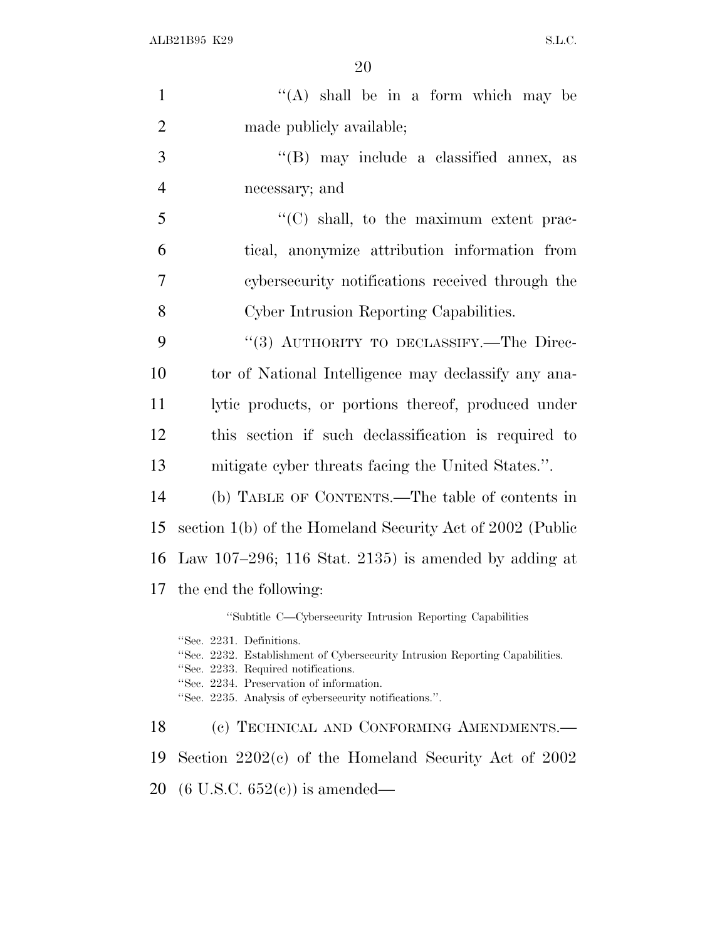| $\mathbf{1}$   | "(A) shall be in a form which may be                                                                                                                                                                                                                  |
|----------------|-------------------------------------------------------------------------------------------------------------------------------------------------------------------------------------------------------------------------------------------------------|
| $\overline{2}$ | made publicly available;                                                                                                                                                                                                                              |
| 3              | "(B) may include a classified annex, as                                                                                                                                                                                                               |
| $\overline{4}$ | necessary; and                                                                                                                                                                                                                                        |
| 5              | $\lq\lq$ (C) shall, to the maximum extent prac-                                                                                                                                                                                                       |
| 6              | tical, anonymize attribution information from                                                                                                                                                                                                         |
| 7              | cybersecurity notifications received through the                                                                                                                                                                                                      |
| 8              | Cyber Intrusion Reporting Capabilities.                                                                                                                                                                                                               |
| 9              | "(3) AUTHORITY TO DECLASSIFY.—The Direc-                                                                                                                                                                                                              |
| 10             | tor of National Intelligence may declassify any ana-                                                                                                                                                                                                  |
| 11             | lytic products, or portions thereof, produced under                                                                                                                                                                                                   |
| 12             | this section if such declassification is required to                                                                                                                                                                                                  |
| 13             | mitigate cyber threats facing the United States.".                                                                                                                                                                                                    |
| 14             | (b) TABLE OF CONTENTS.—The table of contents in                                                                                                                                                                                                       |
| 15             | section 1(b) of the Homeland Security Act of 2002 (Public                                                                                                                                                                                             |
| 16             | Law 107–296; 116 Stat. 2135) is amended by adding at                                                                                                                                                                                                  |
| 17             | the end the following:                                                                                                                                                                                                                                |
|                | "Subtitle C-Cybersecurity Intrusion Reporting Capabilities                                                                                                                                                                                            |
|                | "Sec. 2231. Definitions.<br>"Sec. 2232. Establishment of Cybersecurity Intrusion Reporting Capabilities.<br>"Sec. 2233. Required notifications.<br>"Sec. 2234. Preservation of information.<br>"Sec. 2235. Analysis of cybersecurity notifications.". |
| 18             | (c) TECHNICAL AND CONFORMING AMENDMENTS.—                                                                                                                                                                                                             |
| 19             | Section $2202(c)$ of the Homeland Security Act of $2002$                                                                                                                                                                                              |
| nn.            | $(P \text{ H } \Omega \cap P \text{ E} \Omega)$ :                                                                                                                                                                                                     |

(6 U.S.C. 652(c)) is amended—